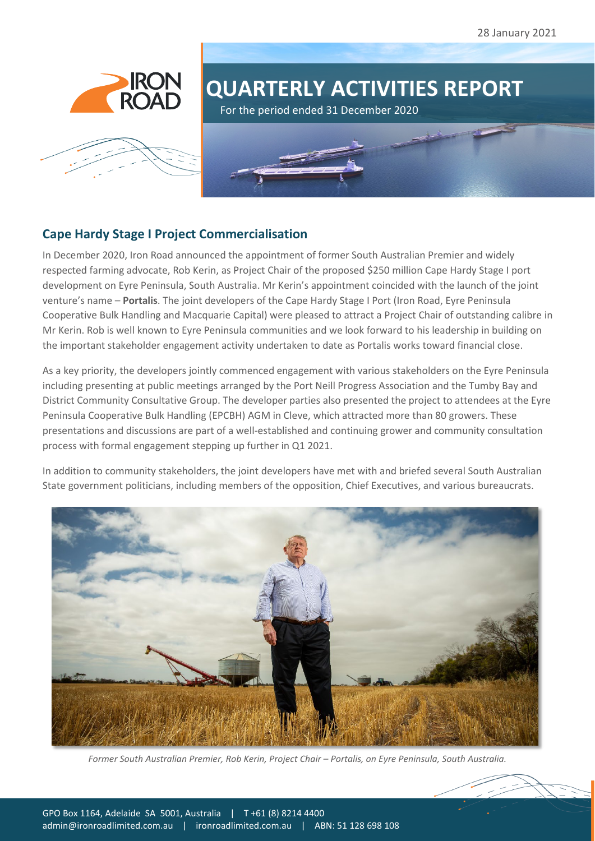





For the period ended 31 December 2020

## **Cape Hardy Stage I Project Commercialisation**

In December 2020, Iron Road announced the appointment of former South Australian Premier and widely respected farming advocate, Rob Kerin, as Project Chair of the proposed \$250 million Cape Hardy Stage I port development on Eyre Peninsula, South Australia. Mr Kerin's appointment coincided with the launch of the joint venture's name – **Portalis**. The joint developers of the Cape Hardy Stage I Port (Iron Road, Eyre Peninsula Cooperative Bulk Handling and Macquarie Capital) were pleased to attract a Project Chair of outstanding calibre in Mr Kerin. Rob is well known to Eyre Peninsula communities and we look forward to his leadership in building on the important stakeholder engagement activity undertaken to date as Portalis works toward financial close.

As a key priority, the developers jointly commenced engagement with various stakeholders on the Eyre Peninsula including presenting at public meetings arranged by the Port Neill Progress Association and the Tumby Bay and District Community Consultative Group. The developer parties also presented the project to attendees at the Eyre Peninsula Cooperative Bulk Handling (EPCBH) AGM in Cleve, which attracted more than 80 growers. These presentations and discussions are part of a well-established and continuing grower and community consultation process with formal engagement stepping up further in Q1 2021.

In addition to community stakeholders, the joint developers have met with and briefed several South Australian State government politicians, including members of the opposition, Chief Executives, and various bureaucrats.



*Former South Australian Premier, Rob Kerin, Project Chair – Portalis, on Eyre Peninsula, South Australia.*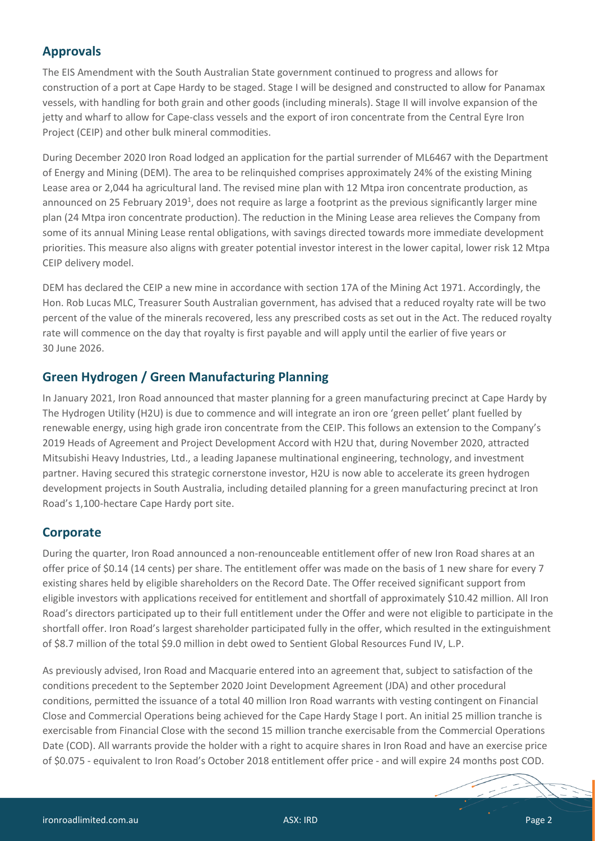## **Approvals**

The EIS Amendment with the South Australian State government continued to progress and allows for construction of a port at Cape Hardy to be staged. Stage I will be designed and constructed to allow for Panamax vessels, with handling for both grain and other goods (including minerals). Stage II will involve expansion of the jetty and wharf to allow for Cape-class vessels and the export of iron concentrate from the Central Eyre Iron Project (CEIP) and other bulk mineral commodities.

During December 2020 Iron Road lodged an application for the partial surrender of ML6467 with the Department of Energy and Mining (DEM). The area to be relinquished comprises approximately 24% of the existing Mining Lease area or 2,044 ha agricultural land. The revised mine plan with 12 Mtpa iron concentrate production, as announced on 25 February 2019<sup>1</sup>, does not require as large a footprint as the previous significantly larger mine plan (24 Mtpa iron concentrate production). The reduction in the Mining Lease area relieves the Company from some of its annual Mining Lease rental obligations, with savings directed towards more immediate development priorities. This measure also aligns with greater potential investor interest in the lower capital, lower risk 12 Mtpa CEIP delivery model.

DEM has declared the CEIP a new mine in accordance with section 17A of the Mining Act 1971. Accordingly, the Hon. Rob Lucas MLC, Treasurer South Australian government, has advised that a reduced royalty rate will be two percent of the value of the minerals recovered, less any prescribed costs as set out in the Act. The reduced royalty rate will commence on the day that royalty is first payable and will apply until the earlier of five years or 30 June 2026.

## **Green Hydrogen / Green Manufacturing Planning**

In January 2021, Iron Road announced that master planning for a green manufacturing precinct at Cape Hardy by The Hydrogen Utility (H2U) is due to commence and will integrate an iron ore 'green pellet' plant fuelled by renewable energy, using high grade iron concentrate from the CEIP. This follows an extension to the Company's 2019 Heads of Agreement and Project Development Accord with H2U that, during November 2020, attracted Mitsubishi Heavy Industries, Ltd., a leading Japanese multinational engineering, technology, and investment partner. Having secured this strategic cornerstone investor, H2U is now able to accelerate its green hydrogen development projects in South Australia, including detailed planning for a green manufacturing precinct at Iron Road's 1,100-hectare Cape Hardy port site.

## **Corporate**

During the quarter, Iron Road announced a non-renounceable entitlement offer of new Iron Road shares at an offer price of \$0.14 (14 cents) per share. The entitlement offer was made on the basis of 1 new share for every 7 existing shares held by eligible shareholders on the Record Date. The Offer received significant support from eligible investors with applications received for entitlement and shortfall of approximately \$10.42 million. All Iron Road's directors participated up to their full entitlement under the Offer and were not eligible to participate in the shortfall offer. Iron Road's largest shareholder participated fully in the offer, which resulted in the extinguishment of \$8.7 million of the total \$9.0 million in debt owed to Sentient Global Resources Fund IV, L.P.

As previously advised, Iron Road and Macquarie entered into an agreement that, subject to satisfaction of the conditions precedent to the September 2020 Joint Development Agreement (JDA) and other procedural conditions, permitted the issuance of a total 40 million Iron Road warrants with vesting contingent on Financial Close and Commercial Operations being achieved for the Cape Hardy Stage I port. An initial 25 million tranche is exercisable from Financial Close with the second 15 million tranche exercisable from the Commercial Operations Date (COD). All warrants provide the holder with a right to acquire shares in Iron Road and have an exercise price of \$0.075 - equivalent to Iron Road's October 2018 entitlement offer price - and will expire 24 months post COD.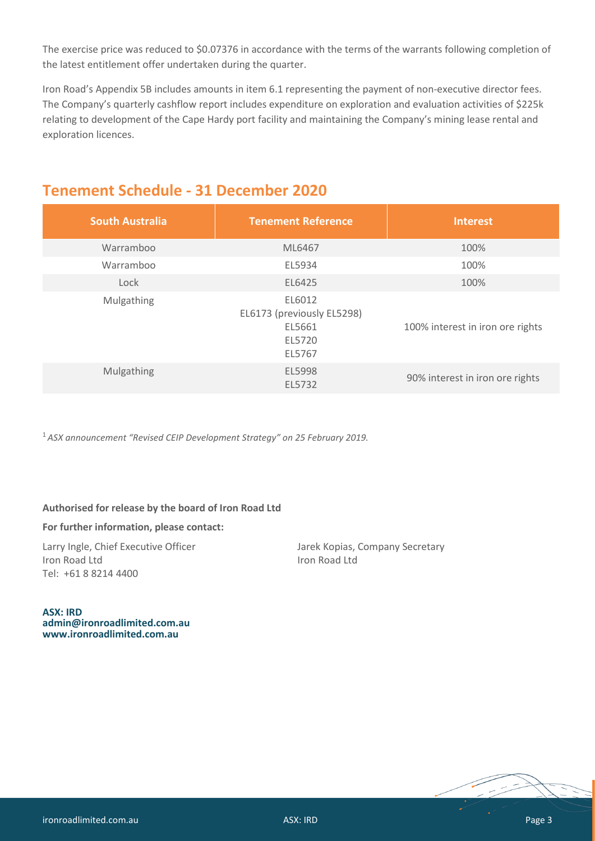The exercise price was reduced to \$0.07376 in accordance with the terms of the warrants following completion of the latest entitlement offer undertaken during the quarter.

Iron Road's Appendix 5B includes amounts in item 6.1 representing the payment of non-executive director fees. The Company's quarterly cashflow report includes expenditure on exploration and evaluation activities of \$225k relating to development of the Cape Hardy port facility and maintaining the Company's mining lease rental and exploration licences.

| <b>South Australia</b> | <b>Tenement Reference</b>                                          | <b>Interest</b>                  |
|------------------------|--------------------------------------------------------------------|----------------------------------|
| Warramboo              | ML6467                                                             | 100%                             |
| Warramboo              | EL5934                                                             | 100%                             |
| Lock                   | EL6425                                                             | 100%                             |
| Mulgathing             | EL6012<br>EL6173 (previously EL5298)<br>EL5661<br>EL5720<br>EL5767 | 100% interest in iron ore rights |
| Mulgathing             | EL5998<br>EL5732                                                   | 90% interest in iron ore rights  |

## **Tenement Schedule - 31 December 2020**

<sup>1</sup> *ASX announcement ["Revised CEIP Development Strategy"](http://clients2.weblink.com.au/clients/ironroad/article.asp?asx=IRD&view=21134555) on 25 February 2019.*

#### **Authorised for release by the board of Iron Road Ltd**

#### **For further information, please contact:**

Larry Ingle, Chief Executive Officer Jarek Kopias, Company Secretary **Iron Road Ltd** Iron Road Ltd Tel: +61 8 8214 4400

**ASX: IRD [admin@ironroadlimited.com.au](mailto:admin@ironroadlimited.com.au) [www.ironroadlimited.com.au](http://www.ironroadlimited.com.au/)**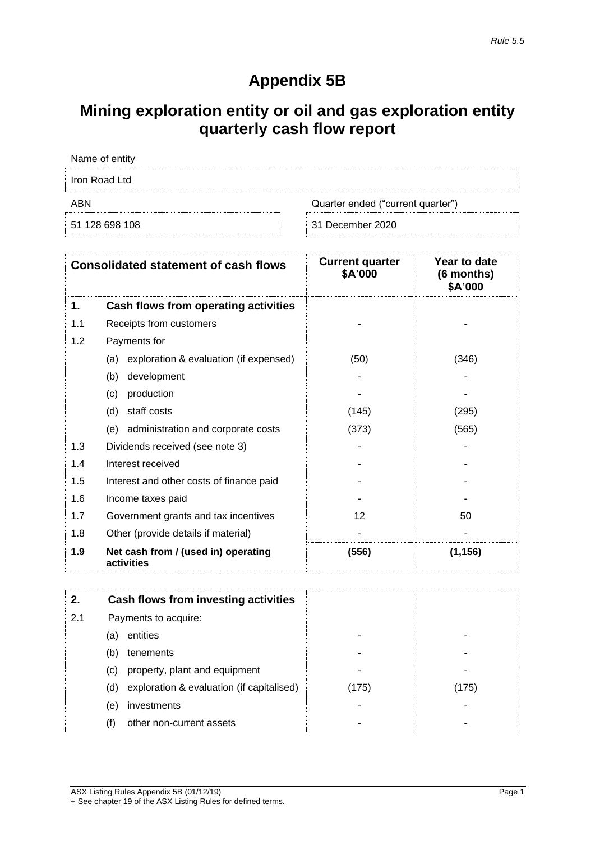## **Appendix 5B**

# **Mining exploration entity or oil and gas exploration entity quarterly cash flow report**

| Name of entity |                                   |
|----------------|-----------------------------------|
| Iron Road Ltd  |                                   |
| ABN            | Quarter ended ("current quarter") |
| 51 128 698 108 | 31 December 2020                  |

| <b>Consolidated statement of cash flows</b> |                                                   | <b>Current quarter</b><br>\$A'000 | Year to date<br>(6 months)<br>\$A'000 |
|---------------------------------------------|---------------------------------------------------|-----------------------------------|---------------------------------------|
| 1.                                          | Cash flows from operating activities              |                                   |                                       |
| 1.1                                         | Receipts from customers                           |                                   |                                       |
| 1.2                                         | Payments for                                      |                                   |                                       |
|                                             | exploration & evaluation (if expensed)<br>(a)     | (50)                              | (346)                                 |
|                                             | development<br>(b)                                |                                   |                                       |
|                                             | production<br>(c)                                 |                                   |                                       |
|                                             | staff costs<br>(d)                                | (145)                             | (295)                                 |
|                                             | administration and corporate costs<br>(e)         | (373)                             | (565)                                 |
| 1.3                                         | Dividends received (see note 3)                   |                                   |                                       |
| 1.4                                         | Interest received                                 |                                   |                                       |
| 1.5                                         | Interest and other costs of finance paid          |                                   |                                       |
| 1.6                                         | Income taxes paid                                 |                                   |                                       |
| 1.7                                         | Government grants and tax incentives              | 12                                | 50                                    |
| 1.8                                         | Other (provide details if material)               |                                   |                                       |
| 1.9                                         | Net cash from / (used in) operating<br>activities | (556)                             | (1, 156)                              |

| 2.  | Cash flows from investing activities             |       |       |
|-----|--------------------------------------------------|-------|-------|
| 2.1 | Payments to acquire:                             |       |       |
|     | entities<br>(a)                                  |       |       |
|     | (b)<br>tenements                                 |       |       |
|     | property, plant and equipment<br>(C)             |       |       |
|     | exploration & evaluation (if capitalised)<br>(d) | (175) | (175) |
|     | investments<br>(e)                               |       |       |
|     | other non-current assets<br>(†)                  |       |       |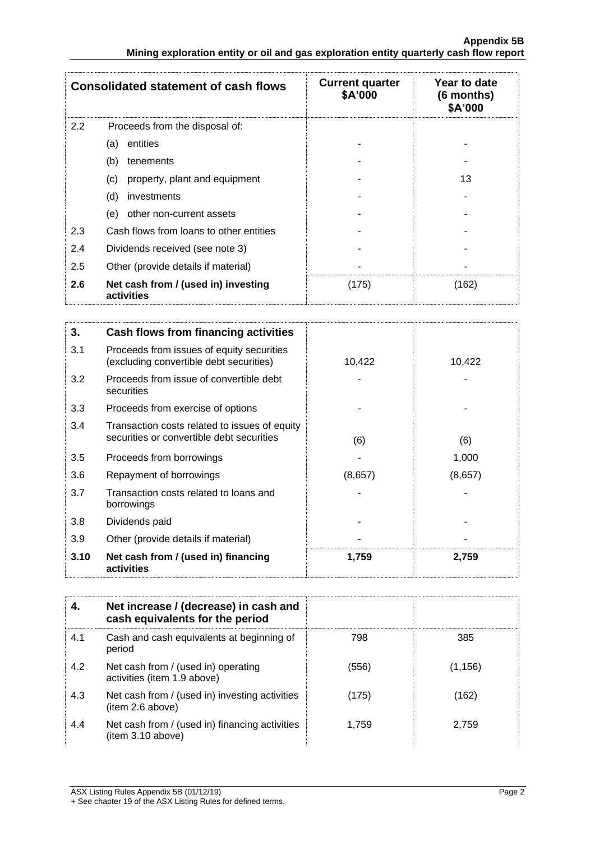|     | <b>Consolidated statement of cash flows</b>       | <b>Current quarter</b><br>\$A'000 | Year to date<br>$(6$ months)<br>\$A'000 |
|-----|---------------------------------------------------|-----------------------------------|-----------------------------------------|
| 2.2 | Proceeds from the disposal of:                    |                                   |                                         |
|     | entities<br>(a)                                   |                                   |                                         |
|     | (b)<br>tenements                                  |                                   |                                         |
|     | property, plant and equipment<br>(c)              |                                   | 13                                      |
|     | (d)<br>investments                                |                                   |                                         |
|     | other non-current assets<br>(e)                   |                                   |                                         |
| 2.3 | Cash flows from loans to other entities           |                                   |                                         |
| 2.4 | Dividends received (see note 3)                   |                                   |                                         |
| 2.5 | Other (provide details if material)               |                                   |                                         |
| 2.6 | Net cash from / (used in) investing<br>activities | (175)                             | (162)                                   |

| 3.   | Cash flows from financing activities                                                       |         |         |
|------|--------------------------------------------------------------------------------------------|---------|---------|
| 3.1  | Proceeds from issues of equity securities<br>(excluding convertible debt securities)       | 10,422  | 10,422  |
| 3.2  | Proceeds from issue of convertible debt<br>securities                                      |         |         |
| 3.3  | Proceeds from exercise of options                                                          |         |         |
| 3.4  | Transaction costs related to issues of equity<br>securities or convertible debt securities | (6)     | (6)     |
| 3.5  | Proceeds from borrowings                                                                   |         | 1,000   |
| 3.6  | Repayment of borrowings                                                                    | (8,657) | (8,657) |
| 3.7  | Transaction costs related to loans and<br>borrowings                                       |         |         |
| 3.8  | Dividends paid                                                                             |         |         |
| 3.9  | Other (provide details if material)                                                        |         |         |
| 3.10 | Net cash from / (used in) financing<br>activities                                          | 1,759   | 2,759   |

| 4.  | Net increase / (decrease) in cash and<br>cash equivalents for the period |       |         |
|-----|--------------------------------------------------------------------------|-------|---------|
| 4.1 | Cash and cash equivalents at beginning of<br>period                      | 798   | 385     |
| 4.2 | Net cash from / (used in) operating<br>activities (item 1.9 above)       | (556) | (1,156) |
| 4.3 | Net cash from / (used in) investing activities<br>(item 2.6 above)       | (175) | (162)   |
| 4.4 | Net cash from / (used in) financing activities<br>(item 3.10 above)      | 1.759 | 2,759   |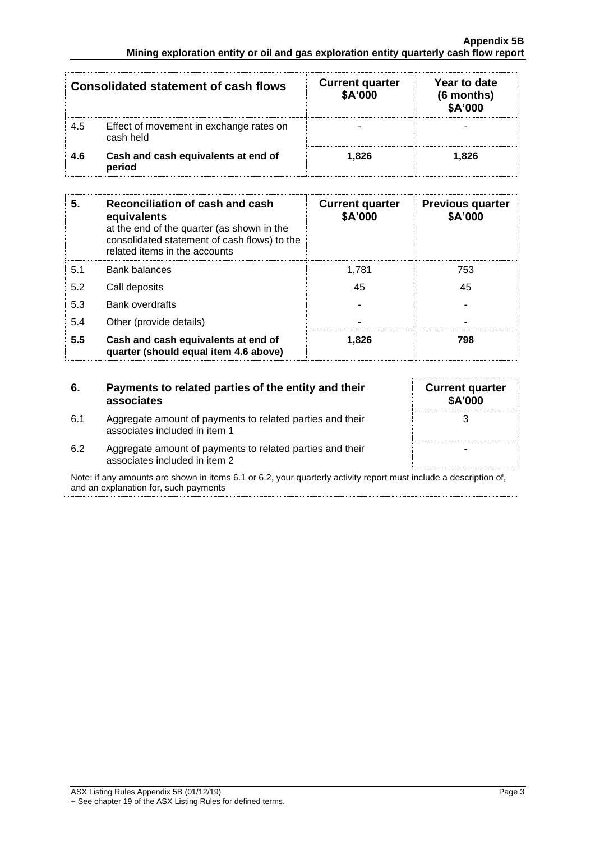| <b>Consolidated statement of cash flows</b> |                                                      | <b>Current quarter</b><br>\$A'000 | Year to date<br>(6 months)<br>\$A'000 |
|---------------------------------------------|------------------------------------------------------|-----------------------------------|---------------------------------------|
| 4.5                                         | Effect of movement in exchange rates on<br>cash held |                                   |                                       |
| 4.6                                         | Cash and cash equivalents at end of<br>period        | 1.826                             | 1.826                                 |

| 5.  | Reconciliation of cash and cash<br>equivalents<br>at the end of the quarter (as shown in the<br>consolidated statement of cash flows) to the<br>related items in the accounts | <b>Current quarter</b><br>\$A'000 | <b>Previous quarter</b><br>\$A'000 |
|-----|-------------------------------------------------------------------------------------------------------------------------------------------------------------------------------|-----------------------------------|------------------------------------|
| 5.1 | <b>Bank balances</b>                                                                                                                                                          | 1.781                             | 753                                |
| 5.2 | Call deposits                                                                                                                                                                 | 45                                | 45                                 |
| 5.3 | Bank overdrafts                                                                                                                                                               | ۰                                 |                                    |
| 5.4 | Other (provide details)                                                                                                                                                       | $\overline{\phantom{a}}$          |                                    |
| 5.5 | Cash and cash equivalents at end of<br>quarter (should equal item 4.6 above)                                                                                                  | 1.826                             | 798                                |

| 6.  | Payments to related parties of the entity and their<br>associates                          | <b>Current quarter</b><br><b>\$A'000</b> |
|-----|--------------------------------------------------------------------------------------------|------------------------------------------|
| 6.1 | Aggregate amount of payments to related parties and their<br>associates included in item 1 |                                          |
| 6.2 | Aggregate amount of payments to related parties and their<br>associates included in item 2 |                                          |

Note: if any amounts are shown in items 6.1 or 6.2, your quarterly activity report must include a description of, and an explanation for, such payments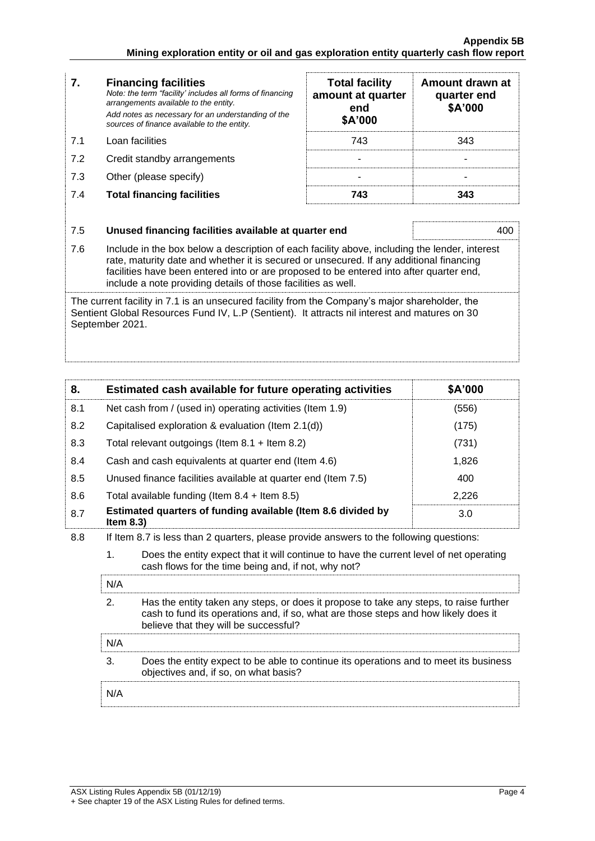| 7.  | <b>Financing facilities</b><br>Note: the term "facility' includes all forms of financing<br>arrangements available to the entity.<br>Add notes as necessary for an understanding of the<br>sources of finance available to the entity. | <b>Total facility</b><br>amount at quarter<br>end<br>\$A'000 | Amount drawn at<br>quarter end<br>\$A'000 |
|-----|----------------------------------------------------------------------------------------------------------------------------------------------------------------------------------------------------------------------------------------|--------------------------------------------------------------|-------------------------------------------|
| 7.1 | Loan facilities                                                                                                                                                                                                                        | 743                                                          | 343                                       |
| 7.2 | Credit standby arrangements                                                                                                                                                                                                            |                                                              |                                           |
| 7.3 | Other (please specify)                                                                                                                                                                                                                 |                                                              |                                           |
| 7.4 | <b>Total financing facilities</b>                                                                                                                                                                                                      | 743                                                          | 343                                       |
| 7.5 | Unused financing facilities available at quarter end                                                                                                                                                                                   |                                                              | 400                                       |
| 7.6 | Include in the box below a description of each facility above, including the lender, interest<br>rate maturity date and whether it is secured or unsecured. If any additional financing                                                |                                                              |                                           |

rate, maturity date and whether it is secured or unsecured. If any additional financing facilities have been entered into or are proposed to be entered into after quarter end, include a note providing details of those facilities as well.

The current facility in 7.1 is an unsecured facility from the Company's major shareholder, the Sentient Global Resources Fund IV, L.P (Sentient). It attracts nil interest and matures on 30 September 2021.

| 8.  |                                                    | Estimated cash available for future operating activities                                                                                                                                                               | \$A'000 |
|-----|----------------------------------------------------|------------------------------------------------------------------------------------------------------------------------------------------------------------------------------------------------------------------------|---------|
| 8.1 |                                                    | Net cash from / (used in) operating activities (Item 1.9)                                                                                                                                                              | (556)   |
| 8.2 | Capitalised exploration & evaluation (Item 2.1(d)) |                                                                                                                                                                                                                        | (175)   |
| 8.3 |                                                    | Total relevant outgoings (Item $8.1 +$ Item $8.2$ )                                                                                                                                                                    | (731)   |
| 8.4 |                                                    | Cash and cash equivalents at quarter end (Item 4.6)                                                                                                                                                                    | 1,826   |
| 8.5 |                                                    | Unused finance facilities available at quarter end (Item 7.5)                                                                                                                                                          | 400     |
| 8.6 |                                                    | Total available funding (Item $8.4$ + Item $8.5$ )                                                                                                                                                                     | 2,226   |
| 8.7 | Item $8.3$ )                                       | Estimated quarters of funding available (Item 8.6 divided by                                                                                                                                                           | 3.0     |
| 8.8 |                                                    | If Item 8.7 is less than 2 quarters, please provide answers to the following questions:                                                                                                                                |         |
|     | 1 <sub>1</sub>                                     | Does the entity expect that it will continue to have the current level of net operating<br>cash flows for the time being and, if not, why not?                                                                         |         |
|     | N/A                                                |                                                                                                                                                                                                                        |         |
|     | 2.                                                 | Has the entity taken any steps, or does it propose to take any steps, to raise further<br>cash to fund its operations and, if so, what are those steps and how likely does it<br>believe that they will be successful? |         |
|     | N/A                                                |                                                                                                                                                                                                                        |         |

3. Does the entity expect to be able to continue its operations and to meet its business objectives and, if so, on what basis?

N/A